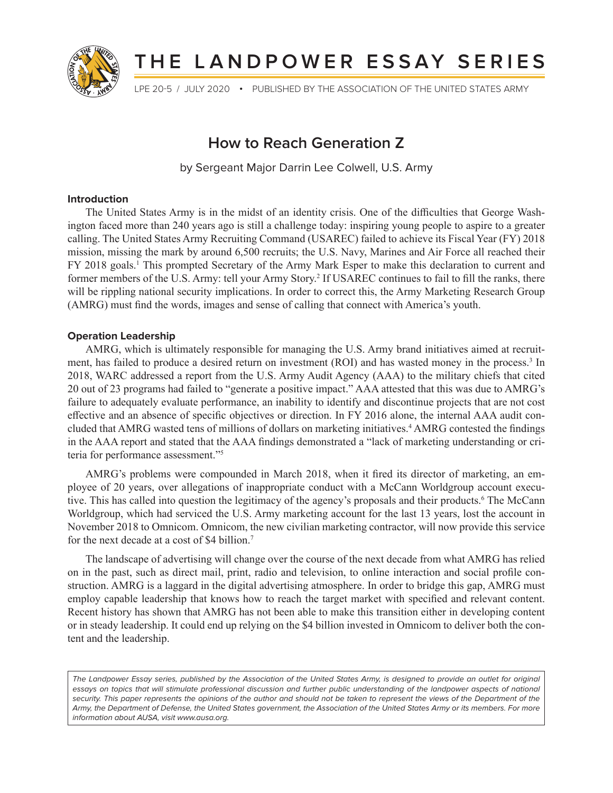

# **THE LANDPOWER ESSAY SERIES**

LPE 20-5 / JULY 2020 **•** PUBLISHED BY THE ASSOCIATION OF THE UNITED STATES ARMY

# **How to Reach Generation Z**

by Sergeant Major Darrin Lee Colwell, U.S. Army

#### **Introduction**

The United States Army is in the midst of an identity crisis. One of the difficulties that George Washington faced more than 240 years ago is still a challenge today: inspiring young people to aspire to a greater calling. The United States Army Recruiting Command (USAREC) failed to achieve its Fiscal Year (FY) 2018 mission, missing the mark by around 6,500 recruits; the U.S. Navy, Marines and Air Force all reached their FY 2018 goals.<sup>1</sup> This prompted Secretary of the Army Mark Esper to make this declaration to current and former members of the U.S. Army: tell your Army Story.<sup>2</sup> If USAREC continues to fail to fill the ranks, there will be rippling national security implications. In order to correct this, the Army Marketing Research Group (AMRG) must find the words, images and sense of calling that connect with America's youth.

### **Operation Leadership**

AMRG, which is ultimately responsible for managing the U.S. Army brand initiatives aimed at recruitment, has failed to produce a desired return on investment (ROI) and has wasted money in the process.<sup>3</sup> In 2018, WARC addressed a report from the U.S. Army Audit Agency (AAA) to the military chiefs that cited 20 out of 23 programs had failed to "generate a positive impact." AAA attested that this was due to AMRG's failure to adequately evaluate performance, an inability to identify and discontinue projects that are not cost effective and an absence of specific objectives or direction. In FY 2016 alone, the internal AAA audit concluded that AMRG wasted tens of millions of dollars on marketing initiatives.4 AMRG contested the findings in the AAA report and stated that the AAA findings demonstrated a "lack of marketing understanding or criteria for performance assessment."5

AMRG's problems were compounded in March 2018, when it fired its director of marketing, an employee of 20 years, over allegations of inappropriate conduct with a McCann Worldgroup account executive. This has called into question the legitimacy of the agency's proposals and their products.<sup>6</sup> The McCann Worldgroup, which had serviced the U.S. Army marketing account for the last 13 years, lost the account in November 2018 to Omnicom. Omnicom, the new civilian marketing contractor, will now provide this service for the next decade at a cost of \$4 billion.<sup>7</sup>

The landscape of advertising will change over the course of the next decade from what AMRG has relied on in the past, such as direct mail, print, radio and television, to online interaction and social profile construction. AMRG is a laggard in the digital advertising atmosphere. In order to bridge this gap, AMRG must employ capable leadership that knows how to reach the target market with specified and relevant content. Recent history has shown that AMRG has not been able to make this transition either in developing content or in steady leadership. It could end up relying on the \$4 billion invested in Omnicom to deliver both the content and the leadership.

The Landpower Essay series, published by the Association of the United States Army, is designed to provide an outlet for original essays on topics that will stimulate professional discussion and further public understanding of the landpower aspects of national security. This paper represents the opinions of the author and should not be taken to represent the views of the Department of the Army, the Department of Defense, the United States government, the Association of the United States Army or its members. For more information about AUSA, visit www.ausa.org.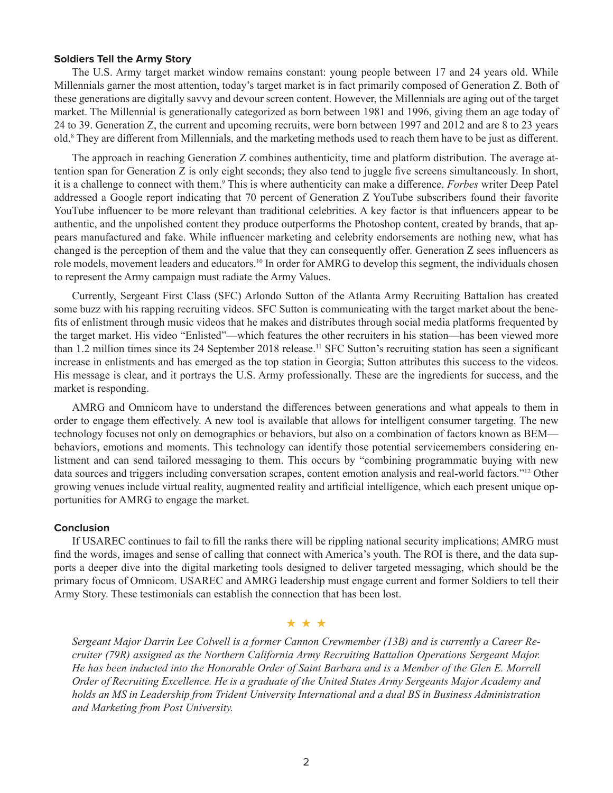#### **Soldiers Tell the Army Story**

The U.S. Army target market window remains constant: young people between 17 and 24 years old. While Millennials garner the most attention, today's target market is in fact primarily composed of Generation Z. Both of these generations are digitally savvy and devour screen content. However, the Millennials are aging out of the target market. The Millennial is generationally categorized as born between 1981 and 1996, giving them an age today of 24 to 39. Generation Z, the current and upcoming recruits, were born between 1997 and 2012 and are 8 to 23 years old.8 They are different from Millennials, and the marketing methods used to reach them have to be just as different.

The approach in reaching Generation Z combines authenticity, time and platform distribution. The average attention span for Generation Z is only eight seconds; they also tend to juggle five screens simultaneously. In short, it is a challenge to connect with them.<sup>9</sup> This is where authenticity can make a difference. *Forbes* writer Deep Patel addressed a Google report indicating that 70 percent of Generation Z YouTube subscribers found their favorite YouTube influencer to be more relevant than traditional celebrities. A key factor is that influencers appear to be authentic, and the unpolished content they produce outperforms the Photoshop content, created by brands, that appears manufactured and fake. While influencer marketing and celebrity endorsements are nothing new, what has changed is the perception of them and the value that they can consequently offer. Generation Z sees influencers as role models, movement leaders and educators.<sup>10</sup> In order for AMRG to develop this segment, the individuals chosen to represent the Army campaign must radiate the Army Values.

Currently, Sergeant First Class (SFC) Arlondo Sutton of the Atlanta Army Recruiting Battalion has created some buzz with his rapping recruiting videos. SFC Sutton is communicating with the target market about the benefits of enlistment through music videos that he makes and distributes through social media platforms frequented by the target market. His video "Enlisted"—which features the other recruiters in his station—has been viewed more than 1.2 million times since its 24 September 2018 release.<sup>11</sup> SFC Sutton's recruiting station has seen a significant increase in enlistments and has emerged as the top station in Georgia; Sutton attributes this success to the videos. His message is clear, and it portrays the U.S. Army professionally. These are the ingredients for success, and the market is responding.

AMRG and Omnicom have to understand the differences between generations and what appeals to them in order to engage them effectively. A new tool is available that allows for intelligent consumer targeting. The new technology focuses not only on demographics or behaviors, but also on a combination of factors known as BEM behaviors, emotions and moments. This technology can identify those potential servicemembers considering enlistment and can send tailored messaging to them. This occurs by "combining programmatic buying with new data sources and triggers including conversation scrapes, content emotion analysis and real-world factors."12 Other growing venues include virtual reality, augmented reality and artificial intelligence, which each present unique opportunities for AMRG to engage the market.

#### **Conclusion**

If USAREC continues to fail to fill the ranks there will be rippling national security implications; AMRG must find the words, images and sense of calling that connect with America's youth. The ROI is there, and the data supports a deeper dive into the digital marketing tools designed to deliver targeted messaging, which should be the primary focus of Omnicom. USAREC and AMRG leadership must engage current and former Soldiers to tell their Army Story. These testimonials can establish the connection that has been lost.

#### ★ ★ ★

*Sergeant Major Darrin Lee Colwell is a former Cannon Crewmember (13B) and is currently a Career Recruiter (79R) assigned as the Northern California Army Recruiting Battalion Operations Sergeant Major. He has been inducted into the Honorable Order of Saint Barbara and is a Member of the Glen E. Morrell Order of Recruiting Excellence. He is a graduate of the United States Army Sergeants Major Academy and holds an MS in Leadership from Trident University International and a dual BS in Business Administration and Marketing from Post University.*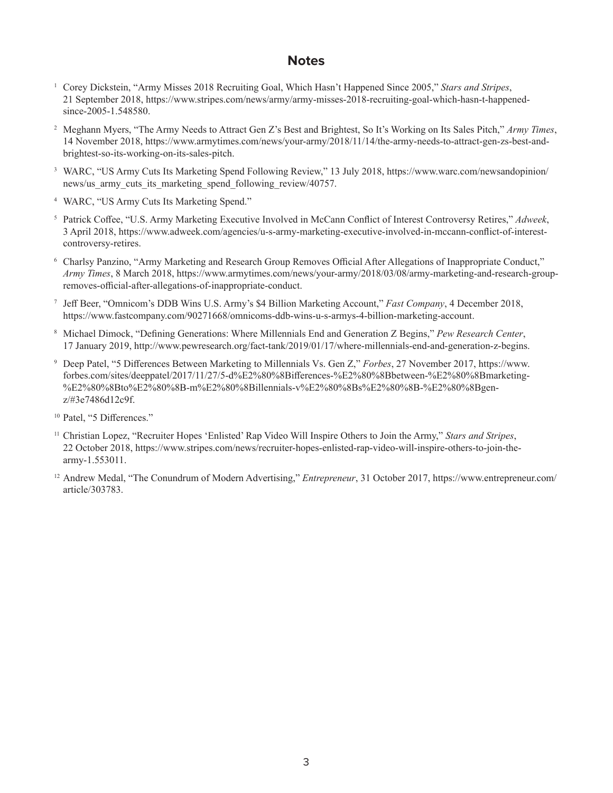# **Notes**

- <sup>1</sup> Corey Dickstein, "Army Misses 2018 Recruiting Goal, Which Hasn't Happened Since 2005," *Stars and Stripes*, 21 September 2018, https://www.stripes.com/news/army/army-misses-2018-recruiting-goal-which-hasn-t-happenedsince-2005-1.548580.
- <sup>2</sup> Meghann Myers, "The Army Needs to Attract Gen Z's Best and Brightest, So It's Working on Its Sales Pitch," *Army Times*, 14 November 2018, https://www.armytimes.com/news/your-army/2018/11/14/the-army-needs-to-attract-gen-zs-best-andbrightest-so-its-working-on-its-sales-pitch.
- <sup>3</sup> WARC, "US Army Cuts Its Marketing Spend Following Review," 13 July 2018, https://www.warc.com/newsandopinion/ news/us army cuts its marketing spend following review/40757.
- <sup>4</sup> WARC, "US Army Cuts Its Marketing Spend."
- <sup>5</sup> Patrick Coffee, "U.S. Army Marketing Executive Involved in McCann Conflict of Interest Controversy Retires," *Adweek*, 3 April 2018, https://www.adweek.com/agencies/u-s-army-marketing-executive-involved-in-mccann-conflict-of-interestcontroversy-retires.
- <sup>6</sup> Charlsy Panzino, "Army Marketing and Research Group Removes Official After Allegations of Inappropriate Conduct," *Army Times*, 8 March 2018, https://www.armytimes.com/news/your-army/2018/03/08/army-marketing-and-research-groupremoves-official-after-allegations-of-inappropriate-conduct.
- <sup>7</sup> Jeff Beer, "Omnicom's DDB Wins U.S. Army's \$4 Billion Marketing Account," *Fast Company*, 4 December 2018, https://www.fastcompany.com/90271668/omnicoms-ddb-wins-u-s-armys-4-billion-marketing-account.
- <sup>8</sup> Michael Dimock, "Defining Generations: Where Millennials End and Generation Z Begins," *Pew Research Center*, 17 January 2019, http://www.pewresearch.org/fact-tank/2019/01/17/where-millennials-end-and-generation-z-begins.
- <sup>9</sup> Deep Patel, "5 Differences Between Marketing to Millennials Vs. Gen Z," *Forbes*, 27 November 2017, https://www. forbes.com/sites/deeppatel/2017/11/27/5-d%E2%80%8Bifferences-%E2%80%8Bbetween-%E2%80%8Bmarketing- %E2%80%8Bto%E2%80%8B-m%E2%80%8Billennials-v%E2%80%8Bs%E2%80%8B-%E2%80%8Bgenz/#3e7486d12c9f.
- <sup>10</sup> Patel, "5 Differences."
- <sup>11</sup> Christian Lopez, "Recruiter Hopes 'Enlisted' Rap Video Will Inspire Others to Join the Army," *Stars and Stripes*, 22 October 2018, https://www.stripes.com/news/recruiter-hopes-enlisted-rap-video-will-inspire-others-to-join-thearmy-1.553011.
- <sup>12</sup> Andrew Medal, "The Conundrum of Modern Advertising," *Entrepreneur*, 31 October 2017, https://www.entrepreneur.com/ article/303783.